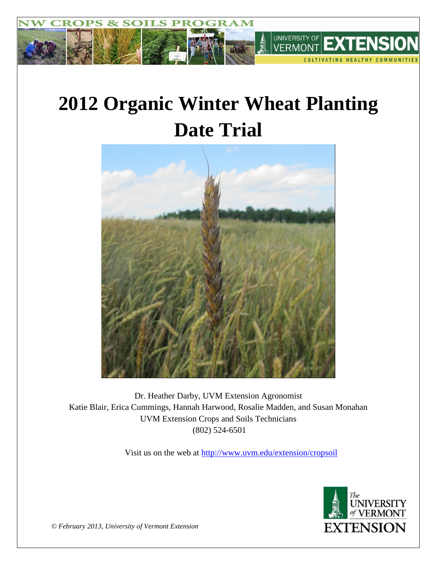

# **2012 Organic Winter Wheat Planting Date Trial**



Dr. Heather Darby, UVM Extension Agronomist Katie Blair, Erica Cummings, Hannah Harwood, Rosalie Madden, and Susan Monahan UVM Extension Crops and Soils Technicians (802) 524-6501

Visit us on the web at<http://www.uvm.edu/extension/cropsoil>



*© February 2013, University of Vermont Extension*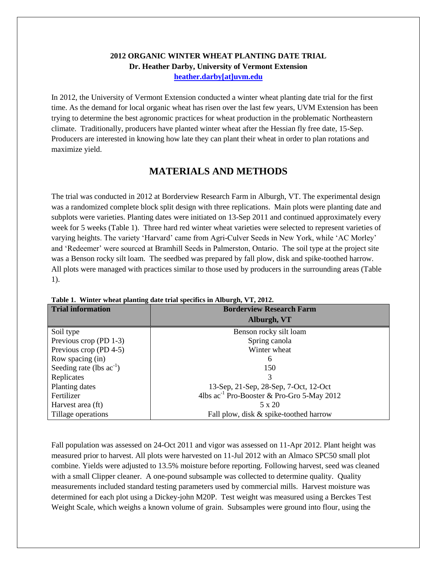## **2012 ORGANIC WINTER WHEAT PLANTING DATE TRIAL Dr. Heather Darby, University of Vermont Extension [heather.darby\[at\]uvm.edu](mailto:hdarby@uvm.edu?subject=2012%20Winter%20Wheat%20Planting%20Date)**

In 2012, the University of Vermont Extension conducted a winter wheat planting date trial for the first time. As the demand for local organic wheat has risen over the last few years, UVM Extension has been trying to determine the best agronomic practices for wheat production in the problematic Northeastern climate. Traditionally, producers have planted winter wheat after the Hessian fly free date, 15-Sep. Producers are interested in knowing how late they can plant their wheat in order to plan rotations and maximize yield.

# **MATERIALS AND METHODS**

The trial was conducted in 2012 at Borderview Research Farm in Alburgh, VT. The experimental design was a randomized complete block split design with three replications. Main plots were planting date and subplots were varieties. Planting dates were initiated on 13-Sep 2011 and continued approximately every week for 5 weeks (Table 1). Three hard red winter wheat varieties were selected to represent varieties of varying heights. The variety 'Harvard' came from Agri-Culver Seeds in New York, while 'AC Morley' and 'Redeemer' were sourced at Bramhill Seeds in Palmerston, Ontario. The soil type at the project site was a Benson rocky silt loam. The seedbed was prepared by fall plow, disk and spike-toothed harrow. All plots were managed with practices similar to those used by producers in the surrounding areas (Table 1).

| <b>Trial information</b>      | <b>Borderview Research Farm</b>                        |  |  |  |  |
|-------------------------------|--------------------------------------------------------|--|--|--|--|
|                               | Alburgh, VT                                            |  |  |  |  |
| Soil type                     | Benson rocky silt loam                                 |  |  |  |  |
| Previous crop (PD 1-3)        | Spring canola                                          |  |  |  |  |
| Previous crop (PD 4-5)        | Winter wheat                                           |  |  |  |  |
| Row spacing (in)              | 6                                                      |  |  |  |  |
| Seeding rate (lbs $ac^{-1}$ ) | 150                                                    |  |  |  |  |
| Replicates                    | 3                                                      |  |  |  |  |
| Planting dates                | 13-Sep, 21-Sep, 28-Sep, 7-Oct, 12-Oct                  |  |  |  |  |
| Fertilizer                    | 4lbs ac <sup>-1</sup> Pro-Booster & Pro-Gro 5-May 2012 |  |  |  |  |
| Harvest area (ft)             | $5 \times 20$                                          |  |  |  |  |
| Tillage operations            | Fall plow, disk & spike-toothed harrow                 |  |  |  |  |

**Table 1. Winter wheat planting date trial specifics in Alburgh, VT, 2012.**

Fall population was assessed on 24-Oct 2011 and vigor was assessed on 11-Apr 2012. Plant height was measured prior to harvest. All plots were harvested on 11-Jul 2012 with an Almaco SPC50 small plot combine. Yields were adjusted to 13.5% moisture before reporting. Following harvest, seed was cleaned with a small Clipper cleaner. A one-pound subsample was collected to determine quality. Quality measurements included standard testing parameters used by commercial mills. Harvest moisture was determined for each plot using a Dickey-john M20P. Test weight was measured using a Berckes Test Weight Scale, which weighs a known volume of grain. Subsamples were ground into flour, using the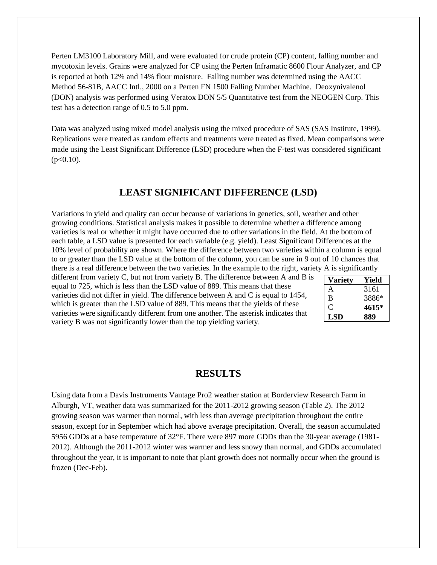Perten LM3100 Laboratory Mill, and were evaluated for crude protein (CP) content, falling number and mycotoxin levels. Grains were analyzed for CP using the Perten Inframatic 8600 Flour Analyzer, and CP is reported at both 12% and 14% flour moisture. Falling number was determined using the AACC Method 56-81B, AACC Intl., 2000 on a Perten FN 1500 Falling Number Machine. Deoxynivalenol (DON) analysis was performed using Veratox DON 5/5 Quantitative test from the NEOGEN Corp. This test has a detection range of 0.5 to 5.0 ppm.

Data was analyzed using mixed model analysis using the mixed procedure of SAS (SAS Institute, 1999). Replications were treated as random effects and treatments were treated as fixed. Mean comparisons were made using the Least Significant Difference (LSD) procedure when the F-test was considered significant  $(p<0.10)$ .

## **LEAST SIGNIFICANT DIFFERENCE (LSD)**

Variations in yield and quality can occur because of variations in genetics, soil, weather and other growing conditions. Statistical analysis makes it possible to determine whether a difference among varieties is real or whether it might have occurred due to other variations in the field. At the bottom of each table, a LSD value is presented for each variable (e.g. yield). Least Significant Differences at the 10% level of probability are shown. Where the difference between two varieties within a column is equal to or greater than the LSD value at the bottom of the column, you can be sure in 9 out of 10 chances that there is a real difference between the two varieties. In the example to the right, variety A is significantly

different from variety C, but not from variety B. The difference between A and B is equal to 725, which is less than the LSD value of 889. This means that these varieties did not differ in yield. The difference between A and C is equal to 1454, which is greater than the LSD value of 889. This means that the yields of these varieties were significantly different from one another. The asterisk indicates that variety B was not significantly lower than the top yielding variety.

| Variety | Yield |
|---------|-------|
| А       | 3161  |
| B       | 3886* |
|         | 4615* |
| LSD     | 889   |

## **RESULTS**

Using data from a Davis Instruments Vantage Pro2 weather station at Borderview Research Farm in Alburgh, VT, weather data was summarized for the 2011-2012 growing season (Table 2). The 2012 growing season was warmer than normal, with less than average precipitation throughout the entire season, except for in September which had above average precipitation. Overall, the season accumulated 5956 GDDs at a base temperature of 32°F. There were 897 more GDDs than the 30-year average (1981- 2012). Although the 2011-2012 winter was warmer and less snowy than normal, and GDDs accumulated throughout the year, it is important to note that plant growth does not normally occur when the ground is frozen (Dec-Feb).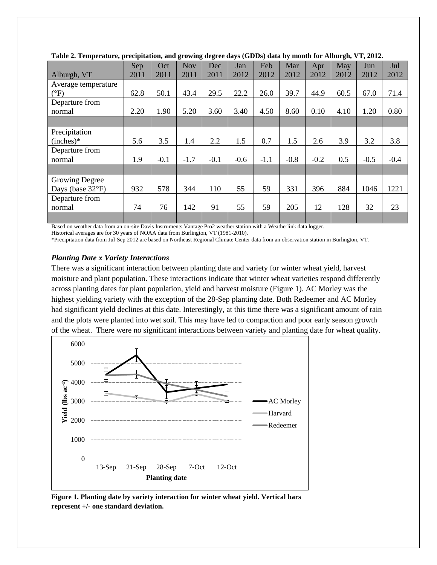|                            | Sep  | Oct    | <b>Nov</b> | Dec    | Jan    | Feb    | Mar    | Apr    | May  | Jun    | Jul    |
|----------------------------|------|--------|------------|--------|--------|--------|--------|--------|------|--------|--------|
| Alburgh, VT                | 2011 | 2011   | 2011       | 2011   | 2012   | 2012   | 2012   | 2012   | 2012 | 2012   | 2012   |
| Average temperature        |      |        |            |        |        |        |        |        |      |        |        |
| $(^{\circ}F)$              | 62.8 | 50.1   | 43.4       | 29.5   | 22.2   | 26.0   | 39.7   | 44.9   | 60.5 | 67.0   | 71.4   |
| Departure from             |      |        |            |        |        |        |        |        |      |        |        |
| normal                     | 2.20 | 1.90   | 5.20       | 3.60   | 3.40   | 4.50   | 8.60   | 0.10   | 4.10 | 1.20   | 0.80   |
|                            |      |        |            |        |        |        |        |        |      |        |        |
| Precipitation              |      |        |            |        |        |        |        |        |      |        |        |
| $(inches)*$                | 5.6  | 3.5    | 1.4        | 2.2    | 1.5    | 0.7    | 1.5    | 2.6    | 3.9  | 3.2    | 3.8    |
| Departure from             |      |        |            |        |        |        |        |        |      |        |        |
| normal                     | 1.9  | $-0.1$ | $-1.7$     | $-0.1$ | $-0.6$ | $-1.1$ | $-0.8$ | $-0.2$ | 0.5  | $-0.5$ | $-0.4$ |
|                            |      |        |            |        |        |        |        |        |      |        |        |
| <b>Growing Degree</b>      |      |        |            |        |        |        |        |        |      |        |        |
| Days (base $32^{\circ}F$ ) | 932  | 578    | 344        | 110    | 55     | 59     | 331    | 396    | 884  | 1046   | 1221   |
| Departure from             |      |        |            |        |        |        |        |        |      |        |        |
| normal                     | 74   | 76     | 142        | 91     | 55     | 59     | 205    | 12     | 128  | 32     | 23     |
|                            |      |        |            |        |        |        |        |        |      |        |        |

|  |  |  | Table 2. Temperature, precipitation, and growing degree days (GDDs) data by month for Alburgh, VT, 2012. |  |
|--|--|--|----------------------------------------------------------------------------------------------------------|--|
|  |  |  |                                                                                                          |  |

Based on weather data from an on-site Davis Instruments Vantage Pro2 weather station with a Weatherlink data logger.

Historical averages are for 30 years of NOAA data from Burlington, VT (1981-2010).

\*Precipitation data from Jul-Sep 2012 are based on Northeast Regional Climate Center data from an observation station in Burlington, VT.

#### *Planting Date x Variety Interactions*

There was a significant interaction between planting date and variety for winter wheat yield, harvest moisture and plant population. These interactions indicate that winter wheat varieties respond differently across planting dates for plant population, yield and harvest moisture (Figure 1). AC Morley was the highest yielding variety with the exception of the 28-Sep planting date. Both Redeemer and AC Morley had significant yield declines at this date. Interestingly, at this time there was a significant amount of rain and the plots were planted into wet soil. This may have led to compaction and poor early season growth of the wheat. There were no significant interactions between variety and planting date for wheat quality.



**Figure 1. Planting date by variety interaction for winter wheat yield. Vertical bars represent +/- one standard deviation.**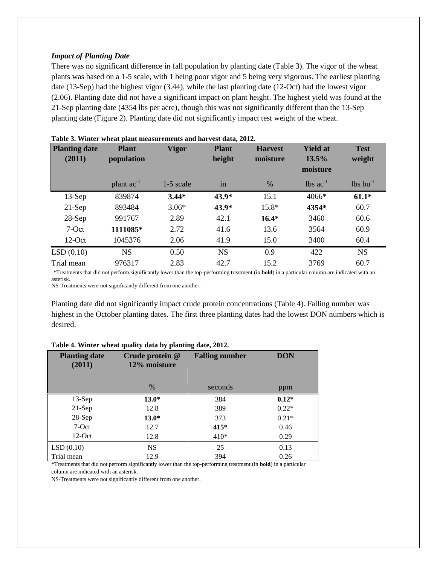#### *Impact of Planting Date*

There was no significant difference in fall population by planting date (Table 3). The vigor of the wheat plants was based on a 1-5 scale, with 1 being poor vigor and 5 being very vigorous. The earliest planting date (13-Sep) had the highest vigor (3.44), while the last planting date (12-Oct) had the lowest vigor (2.06). Planting date did not have a significant impact on plant height. The highest yield was found at the 21-Sep planting date (4354 lbs per acre), though this was not significantly different than the 13-Sep planting date (Figure 2). Planting date did not significantly impact test weight of the wheat.

| <b>Planting date</b><br>(2011) | <b>Plant</b><br>population | <b>Vigor</b> | <b>Plant</b><br>height | <b>Harvest</b><br>moisture | <b>Yield at</b><br>13.5%<br>moisture | <b>Test</b><br>weight  |
|--------------------------------|----------------------------|--------------|------------------------|----------------------------|--------------------------------------|------------------------|
|                                | plant $ac^{-1}$            | 1-5 scale    | in                     | $\%$                       | $\log ac^{-1}$                       | $lbs$ bu <sup>-1</sup> |
| $13-Sep$                       | 839874                     | $3.44*$      | 43.9*                  | 15.1                       | $4066*$                              | $61.1*$                |
| $21-Sep$                       | 893484                     | $3.06*$      | 43.9*                  | $15.8*$                    | 4354*                                | 60.7                   |
| $28-Sep$                       | 991767                     | 2.89         | 42.1                   | $16.4*$                    | 3460                                 | 60.6                   |
| $7-Oct$                        | 1111085*                   | 2.72         | 41.6                   | 13.6                       | 3564                                 | 60.9                   |
| $12$ -Oct                      | 1045376                    | 2.06         | 41.9                   | 15.0                       | 3400                                 | 60.4                   |
| LSD(0.10)                      | <b>NS</b>                  | 0.50         | <b>NS</b>              | 0.9                        | 422                                  | <b>NS</b>              |
| Trial mean                     | 976317                     | 2.83         | 42.7                   | 15.2                       | 3769                                 | 60.7                   |

| Table 3. Winter wheat plant measurements and harvest data, 2012. |  |
|------------------------------------------------------------------|--|
|                                                                  |  |

\*Treatments that did not perform significantly lower than the top-performing treatment (in **bold**) in a particular column are indicated with an asterisk.

NS-Treatments were not significantly different from one another.

Planting date did not significantly impact crude protein concentrations (Table 4). Falling number was highest in the October planting dates. The first three planting dates had the lowest DON numbers which is desired.

| <b>Planting date</b><br>(2011) | Crude protein @<br>12% moisture | <b>Falling number</b> | <b>DON</b> |
|--------------------------------|---------------------------------|-----------------------|------------|
|                                | $\%$                            | seconds               | ppm        |
| $13-Sep$                       | $13.0*$                         | 384                   | $0.12*$    |
| $21-Sep$                       | 12.8                            | 389                   | $0.22*$    |
| $28-Sep$                       | $13.0*$                         | 373                   | $0.21*$    |
| 7-Oct                          | 12.7                            | $415*$                | 0.46       |
| $12$ -Oct                      | 12.8                            | $410*$                | 0.29       |
| LSD(0.10)                      | <b>NS</b>                       | 25                    | 0.13       |
| Trial mean                     | 12.9                            | 394                   | 0.26       |

#### **Table 4. Winter wheat quality data by planting date, 2012.**

\*Treatments that did not perform significantly lower than the top-performing treatment (in **bold**) in a particular column are indicated with an asterisk.

NS-Treatments were not significantly different from one another.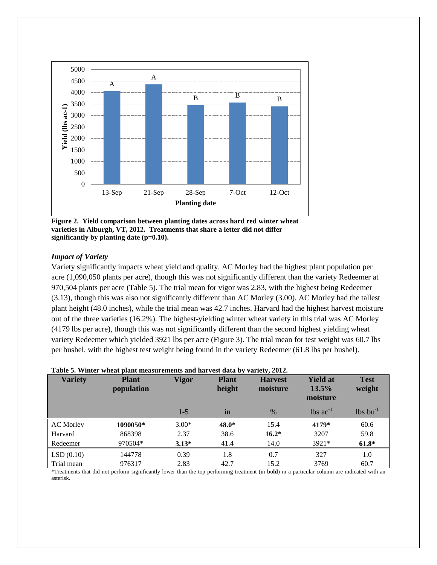

**Figure 2. Yield comparison between planting dates across hard red winter wheat varieties in Alburgh, VT, 2012. Treatments that share a letter did not differ significantly by planting date (p=0.10).**

#### *Impact of Variety*

Variety significantly impacts wheat yield and quality. AC Morley had the highest plant population per acre (1,090,050 plants per acre), though this was not significantly different than the variety Redeemer at 970,504 plants per acre (Table 5). The trial mean for vigor was 2.83, with the highest being Redeemer (3.13), though this was also not significantly different than AC Morley (3.00). AC Morley had the tallest plant height (48.0 inches), while the trial mean was 42.7 inches. Harvard had the highest harvest moisture out of the three varieties (16.2%). The highest-yielding winter wheat variety in this trial was AC Morley (4179 lbs per acre), though this was not significantly different than the second highest yielding wheat variety Redeemer which yielded 3921 lbs per acre (Figure 3). The trial mean for test weight was 60.7 lbs per bushel, with the highest test weight being found in the variety Redeemer (61.8 lbs per bushel).

| <b>Variety</b>   | <b>Plant</b><br><i>population</i> | Vigor   | <b>Plant</b><br>height | <b>Harvest</b><br>moisture | <b>Yield at</b><br>$13.5\%$<br>moisture | <b>Test</b><br>weight  |
|------------------|-----------------------------------|---------|------------------------|----------------------------|-----------------------------------------|------------------------|
|                  |                                   | $1 - 5$ | 1n                     | $\frac{0}{0}$              | $\log ac^{-1}$                          | $lbs$ bu <sup>-1</sup> |
| <b>AC</b> Morley | 1090050*                          | $3.00*$ | 48.0*                  | 15.4                       | 4179*                                   | 60.6                   |
| Harvard          | 868398                            | 2.37    | 38.6                   | $16.2*$                    | 3207                                    | 59.8                   |
| Redeemer         | 970504*                           | $3.13*$ | 41.4                   | 14.0                       | $3921*$                                 | $61.8*$                |
| LSD(0.10)        | 144778                            | 0.39    | 1.8                    | 0.7                        | 327                                     | 1.0                    |
| Trial mean       | 976317                            | 2.83    | 42.7                   | 15.2                       | 3769                                    | 60.7                   |

|  |  | Table 5. Winter wheat plant measurements and harvest data by variety, 2012. |  |  |  |
|--|--|-----------------------------------------------------------------------------|--|--|--|
|  |  |                                                                             |  |  |  |

\*Treatments that did not perform significantly lower than the top performing treatment (in **bold**) in a particular column are indicated with an asterisk.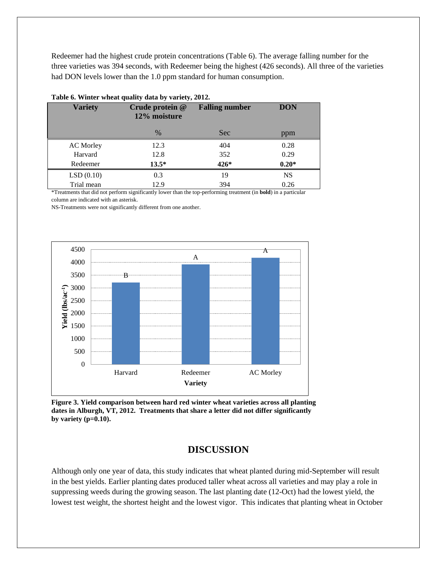Redeemer had the highest crude protein concentrations (Table 6). The average falling number for the three varieties was 394 seconds, with Redeemer being the highest (426 seconds). All three of the varieties had DON levels lower than the 1.0 ppm standard for human consumption.

| Table of $m$ and $m$ and $m$ and $m$ and $m$ and $m$ |                                            |                       |            |  |  |  |  |  |  |
|------------------------------------------------------|--------------------------------------------|-----------------------|------------|--|--|--|--|--|--|
| <b>Variety</b>                                       | Crude protein @<br>12% moisture            | <b>Falling number</b> | <b>DON</b> |  |  |  |  |  |  |
|                                                      | $\%$                                       | <b>Sec</b>            | ppm        |  |  |  |  |  |  |
| <b>AC</b> Morley                                     | 12.3                                       | 404                   | 0.28       |  |  |  |  |  |  |
| Harvard                                              | 12.8                                       | 352                   | 0.29       |  |  |  |  |  |  |
| Redeemer                                             | $13.5*$                                    | 426*                  | $0.20*$    |  |  |  |  |  |  |
| LSD(0.10)                                            | 0.3                                        | 19                    | <b>NS</b>  |  |  |  |  |  |  |
| Trial mean<br>$\sim$                                 | 12.9<br>$\sim$ $\sim$ $\sim$ $\sim$<br>. . | 394                   | 0.26<br>.  |  |  |  |  |  |  |

#### **Table 6. Winter wheat quality data by variety, 2012.**

\*Treatments that did not perform significantly lower than the top-performing treatment (in **bold**) in a particular column are indicated with an asterisk.

NS-Treatments were not significantly different from one another.



**Figure 3. Yield comparison between hard red winter wheat varieties across all planting dates in Alburgh, VT, 2012. Treatments that share a letter did not differ significantly by variety (p=0.10).**

## **DISCUSSION**

Although only one year of data, this study indicates that wheat planted during mid-September will result in the best yields. Earlier planting dates produced taller wheat across all varieties and may play a role in suppressing weeds during the growing season. The last planting date (12-Oct) had the lowest yield, the lowest test weight, the shortest height and the lowest vigor. This indicates that planting wheat in October